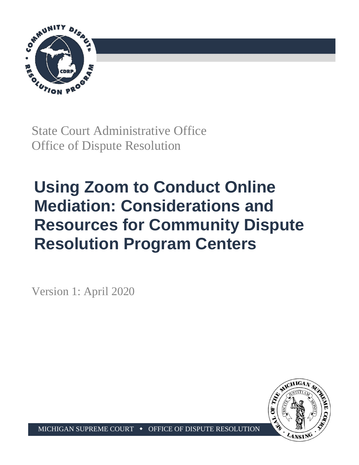

State Court Administrative Office Office of Dispute Resolution

# **Using Zoom to Conduct Online Mediation: Considerations and Resources for Community Dispute Resolution Program Centers**

Version 1: April 2020



MICHIGAN SUPREME COURT  $\rightarrow$  OFFICE OF DISPUTE RESOLUTION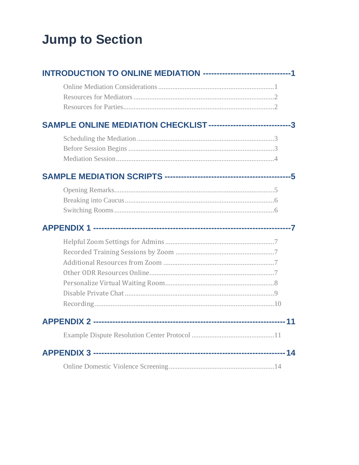## <span id="page-1-0"></span>**Jump to Section**

| INTRODUCTION TO ONLINE MEDIATION --------------------------------1 |  |
|--------------------------------------------------------------------|--|
|                                                                    |  |
| SAMPLE ONLINE MEDIATION CHECKLIST -------------------------------3 |  |
|                                                                    |  |
|                                                                    |  |
|                                                                    |  |
|                                                                    |  |
|                                                                    |  |
|                                                                    |  |
|                                                                    |  |
|                                                                    |  |
|                                                                    |  |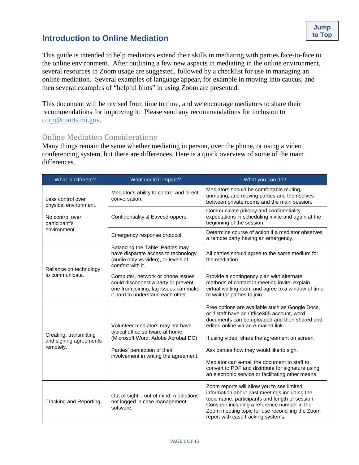**[Jump](#page-1-0)** 

<span id="page-2-0"></span>This document will be revised from time to time, and we encourage mediators to share their recommendations for improving it. Please send any recommendations for inclusion to [cdrp@courts.mi.gov.](mailto:cdrp@courts.mi.gov?subject=Comment%20on%20Zoom%20Online%20Mediation%20Considerations)

## <span id="page-2-1"></span>Online Mediation Considerations

Many things remain the same whether mediating in person, over the phone, or using a video conferencing system, but there are differences. Here is a quick overview of some of the main differences.

| What is different?                                            | What could it impact?                                                                                                                                                              | What you can do?                                                                                                                                                                                                                                                                                                                                                                                                                                |
|---------------------------------------------------------------|------------------------------------------------------------------------------------------------------------------------------------------------------------------------------------|-------------------------------------------------------------------------------------------------------------------------------------------------------------------------------------------------------------------------------------------------------------------------------------------------------------------------------------------------------------------------------------------------------------------------------------------------|
| Less control over<br>physical environment.                    | Mediator's ability to control and direct<br>conversation.                                                                                                                          | Mediators should be comfortable muting,<br>unmuting, and moving parties and themselves<br>between private rooms and the main session.                                                                                                                                                                                                                                                                                                           |
| No control over<br>participant's                              | Confidentiality & Eavesdroppers.                                                                                                                                                   | Communicate privacy and confidentiality<br>expectations in scheduling invite and again at the<br>beginning of the session.                                                                                                                                                                                                                                                                                                                      |
| environment.                                                  | Emergency response protocol.                                                                                                                                                       | Determine course of action if a mediator observes<br>a remote party having an emergency.                                                                                                                                                                                                                                                                                                                                                        |
| Reliance on technology                                        | Balancing the Table: Parties may<br>have disparate access to technology<br>(audio only vs video), or levels of<br>comfort with it.                                                 | All parties should agree to the same medium for<br>the mediation.                                                                                                                                                                                                                                                                                                                                                                               |
| to communicate.                                               | Computer, network or phone issues<br>could disconnect a party or prevent<br>one from joining, lag issues can make<br>it hard to understand each other.                             | Provide a contingency plan with alternate<br>methods of contact in meeting invite; explain<br>virtual waiting room and agree to a window of time<br>to wait for parties to join.                                                                                                                                                                                                                                                                |
| Creating, transmitting<br>and signing agreements<br>remotely. | Volunteer mediators may not have<br>typical office software at home<br>(Microsoft Word, Adobe Acrobat DC)<br>Parties' perception of their<br>involvement in writing the agreement. | Free options are available such as Google Docs,<br>or if staff have an Office365 account, word<br>documents can be uploaded and then shared and<br>edited online via an e-mailed link.<br>If using video, share the agreement on screen.<br>Ask parties how they would like to sign.<br>Mediator can e-mail the document to staff to<br>convert to PDF and distribute for signature using<br>an electronic service or facilitating other means. |
| <b>Tracking and Reporting</b>                                 | Out of sight – out of mind; mediations<br>not logged in case management<br>software.                                                                                               | Zoom reports will allow you to see limited<br>information about past meetings including the<br>topic name, participants and length of session.<br>Consider including a reference number in the<br>Zoom meeting topic for use reconciling the Zoom<br>report with case tracking systems.                                                                                                                                                         |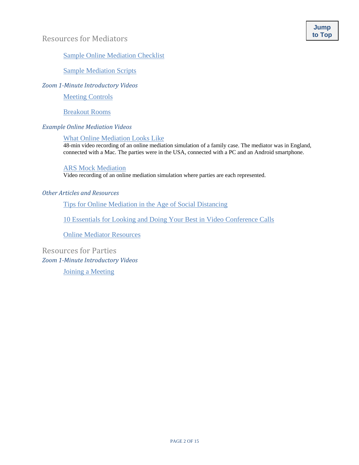#### <span id="page-3-0"></span>[Sample Online Mediation Checklist](#page-5-0)

[Sample Mediation Scripts](#page-5-1)

*Zoom 1-Minute Introductory Videos*

[Meeting Controls](https://support.zoom.us/hc/en-us/articles/201362603-What-Are-the-Host-Controls-)

[Breakout Rooms](https://support.zoom.us/hc/en-us/articles/206476093-Getting-Started-with-Video-Breakout-Rooms)

#### *Example Online Mediation Videos*

#### [What Online Mediation Looks Like](https://youtu.be/_2KbnUs546E)

48-min video recording of an online mediation simulation of a family case. The mediator was in England, connected with a Mac. The parties were in the USA, connected with a PC and an Android smartphone.

#### [ARS Mock Mediation](https://www.youtube.com/watch?v=FxNn7ZV7Irc&feature=youtu.be)

Video recording of an online mediation simulation where parties are each represented.

#### *Other Articles and Resources*

[Tips for Online Mediation in the Age of Social Distancing](https://www.law360.com/commercialcontracts/articles/1256112/tips-for-online-mediation-in-the-age-of-social-distancing)

[10 Essentials for Looking and Doing Your Best in Video Conference Calls](https://www.americanbar.org/content/dam/aba/administrative/dispute_resolution/materials/10-essentials-for-video-conference-calls.pdf)

[Online Mediator Resources](https://docs.google.com/document/d/1-QMGeGpeb3Z_trEe4kKBXUYIrvRB8aV3rQdRZZSaksc/edit)

<span id="page-3-1"></span>Resources for Parties *Zoom 1-Minute Introductory Videos* [Joining a Meeting](https://support.zoom.us/hc/en-us/articles/201362193-How-Do-I-Join-A-Meeting-)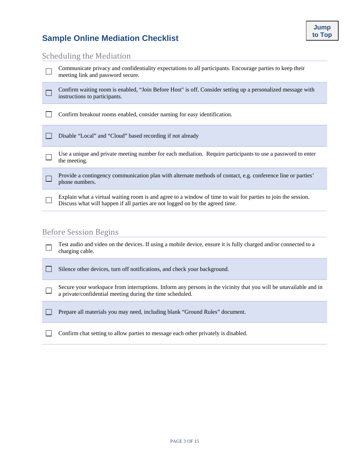## <span id="page-4-0"></span>**Sample Online Mediation Checklist**

## <span id="page-4-1"></span>Scheduling the Mediation

| Communicate privacy and confidentiality expectations to all participants. Encourage parties to keep their<br>meeting link and password secure.                                                 |
|------------------------------------------------------------------------------------------------------------------------------------------------------------------------------------------------|
| Confirm waiting room is enabled, "Join Before Host" is off. Consider setting up a personalized message with<br>instructions to participants.                                                   |
| Confirm breakout rooms enabled, consider naming for easy identification.                                                                                                                       |
| Disable "Local" and "Cloud" based recording if not already                                                                                                                                     |
| Use a unique and private meeting number for each mediation. Require participants to use a password to enter<br>the meeting.                                                                    |
| Provide a contingency communication plan with alternate methods of contact, e.g. conference line or parties'<br>phone numbers.                                                                 |
| Explain what a virtual waiting room is and agree to a window of time to wait for parties to join the session.<br>Discuss what will happen if all parties are not logged on by the agreed time. |
| $D(f \cap A)$                                                                                                                                                                                  |

#### <span id="page-4-2"></span>Before Session Begins

|        | Test audio and video on the devices. If using a mobile device, ensure it is fully charged and/or connected to a<br>charging cable.                                            |
|--------|-------------------------------------------------------------------------------------------------------------------------------------------------------------------------------|
|        | Silence other devices, turn off notifications, and check your background.                                                                                                     |
| $\Box$ | Secure your workspace from interruptions. Inform any persons in the vicinity that you will be unavailable and in<br>a private/confidential meeting during the time scheduled. |
|        | Prepare all materials you may need, including blank "Ground Rules" document.                                                                                                  |
|        | Confirm chat setting to allow parties to message each other privately is disabled.                                                                                            |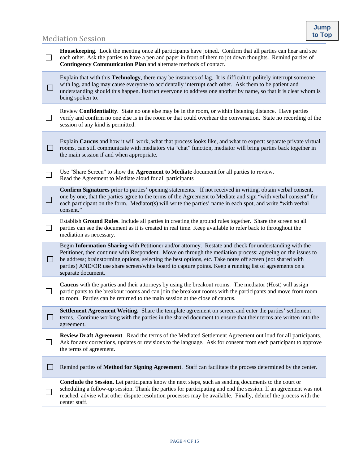## <span id="page-5-1"></span><span id="page-5-0"></span>**Mediation Session**

| <b>Housekeeping.</b> Lock the meeting once all participants have joined. Confirm that all parties can hear and see<br>each other. Ask the parties to have a pen and paper in front of them to jot down thoughts. Remind parties of<br>Contingency Communication Plan and alternate methods of contact.                                                                                                                                                               |
|----------------------------------------------------------------------------------------------------------------------------------------------------------------------------------------------------------------------------------------------------------------------------------------------------------------------------------------------------------------------------------------------------------------------------------------------------------------------|
| Explain that with this <b>Technology</b> , there may be instances of lag. It is difficult to politely interrupt someone<br>with lag, and lag may cause everyone to accidentally interrupt each other. Ask them to be patient and<br>understanding should this happen. Instruct everyone to address one another by name, so that it is clear whom is<br>being spoken to.                                                                                              |
| Review Confidentiality. State no one else may be in the room, or within listening distance. Have parties<br>verify and confirm no one else is in the room or that could overhear the conversation. State no recording of the<br>session of any kind is permitted.                                                                                                                                                                                                    |
| Explain Caucus and how it will work, what that process looks like, and what to expect: separate private virtual<br>rooms, can still communicate with mediators via "chat" function, mediator will bring parties back together in<br>the main session if and when appropriate.                                                                                                                                                                                        |
| Use "Share Screen" to show the <b>Agreement to Mediate</b> document for all parties to review.<br>Read the Agreement to Mediate aloud for all participants                                                                                                                                                                                                                                                                                                           |
| Confirm Signatures prior to parties' opening statements. If not received in writing, obtain verbal consent,<br>one by one, that the parties agree to the terms of the Agreement to Mediate and sign "with verbal consent" for<br>each participant on the form. Mediator(s) will write the parties' name in each spot, and write "with verbal<br>consent."                                                                                                            |
| Establish Ground Rules. Include all parties in creating the ground rules together. Share the screen so all<br>parties can see the document as it is created in real time. Keep available to refer back to throughout the<br>mediation as necessary.                                                                                                                                                                                                                  |
| Begin Information Sharing with Petitioner and/or attorney. Restate and check for understanding with the<br>Petitioner, then continue with Respondent. Move on through the mediation process: agreeing on the issues to<br>be address; brainstorming options, selecting the best options, etc. Take notes off screen (not shared with<br>parties) AND/OR use share screen/white board to capture points. Keep a running list of agreements on a<br>separate document. |
| Caucus with the parties and their attorneys by using the breakout rooms. The mediator (Host) will assign<br>participants to the breakout rooms and can join the breakout rooms with the participants and move from room<br>to room. Parties can be returned to the main session at the close of caucus.                                                                                                                                                              |
| <b>Settlement Agreement Writing.</b> Share the template agreement on screen and enter the parties' settlement<br>terms. Continue working with the parties in the shared document to ensure that their terms are written into the<br>agreement.                                                                                                                                                                                                                       |
| <b>Review Draft Agreement.</b> Read the terms of the Mediated Settlement Agreement out loud for all participants.<br>Ask for any corrections, updates or revisions to the language. Ask for consent from each participant to approve<br>the terms of agreement.                                                                                                                                                                                                      |
| Remind parties of Method for Signing Agreement. Staff can facilitate the process determined by the center.                                                                                                                                                                                                                                                                                                                                                           |
| Conclude the Session. Let participants know the next steps, such as sending documents to the court or<br>scheduling a follow-up session. Thank the parties for participating and end the session. If an agreement was not<br>reached, advise what other dispute resolution processes may be available. Finally, debrief the process with the<br>center staff.                                                                                                        |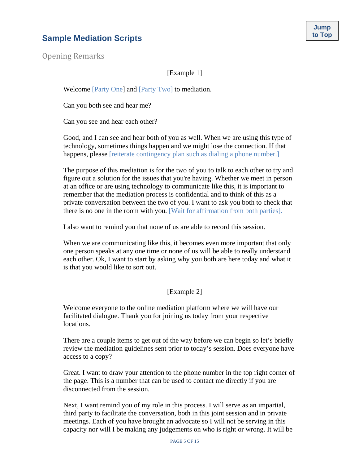## <span id="page-6-0"></span>**Sample Mediation Scripts Contract of Scripts Contract of Scripts Contract of Scripts Contract of Scripts Contract of Scripts Contract of Scripts Contract of Scripts Contract of Scripts Contract of Script**

<span id="page-6-1"></span>Opening Remarks

#### [Example 1]

Welcome [Party One] and [Party Two] to mediation.

Can you both see and hear me?

Can you see and hear each other?

Good, and I can see and hear both of you as well. When we are using this type of technology, sometimes things happen and we might lose the connection. If that happens, please [reiterate contingency plan such as dialing a phone number.]

The purpose of this mediation is for the two of you to talk to each other to try and figure out a solution for the issues that you're having. Whether we meet in person at an office or are using technology to communicate like this, it is important to remember that the mediation process is confidential and to think of this as a private conversation between the two of you. I want to ask you both to check that there is no one in the room with you. [Wait for affirmation from both parties].

I also want to remind you that none of us are able to record this session.

When we are communicating like this, it becomes even more important that only one person speaks at any one time or none of us will be able to really understand each other. Ok, I want to start by asking why you both are here today and what it is that you would like to sort out.

#### [Example 2]

Welcome everyone to the online mediation platform where we will have our facilitated dialogue. Thank you for joining us today from your respective locations.

There are a couple items to get out of the way before we can begin so let's briefly review the mediation guidelines sent prior to today's session. Does everyone have access to a copy?

Great. I want to draw your attention to the phone number in the top right corner of the page. This is a number that can be used to contact me directly if you are disconnected from the session.

Next, I want remind you of my role in this process. I will serve as an impartial, third party to facilitate the conversation, both in this joint session and in private meetings. Each of you have brought an advocate so I will not be serving in this capacity nor will I be making any judgements on who is right or wrong. It will be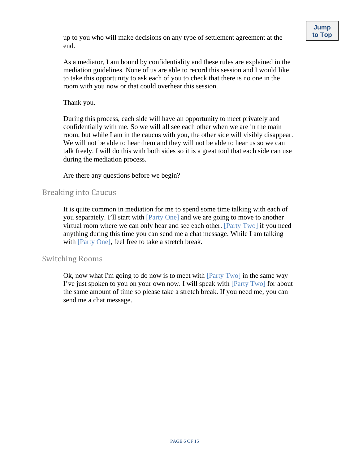As a mediator, I am bound by confidentiality and these rules are explained in the mediation guidelines. None of us are able to record this session and I would like to take this opportunity to ask each of you to check that there is no one in the room with you now or that could overhear this session.

Thank you.

During this process, each side will have an opportunity to meet privately and confidentially with me. So we will all see each other when we are in the main room, but while I am in the caucus with you, the other side will visibly disappear. We will not be able to hear them and they will not be able to hear us so we can talk freely. I will do this with both sides so it is a great tool that each side can use during the mediation process.

Are there any questions before we begin?

## <span id="page-7-0"></span>Breaking into Caucus

It is quite common in mediation for me to spend some time talking with each of you separately. I'll start with [Party One] and we are going to move to another virtual room where we can only hear and see each other. [Party Two] if you need anything during this time you can send me a chat message. While I am talking with [Party One], feel free to take a stretch break.

#### <span id="page-7-1"></span>Switching Rooms

Ok, now what I'm going to do now is to meet with  $[Party Two]$  in the same way I've just spoken to you on your own now. I will speak with [Party Two] for about the same amount of time so please take a stretch break. If you need me, you can send me a chat message.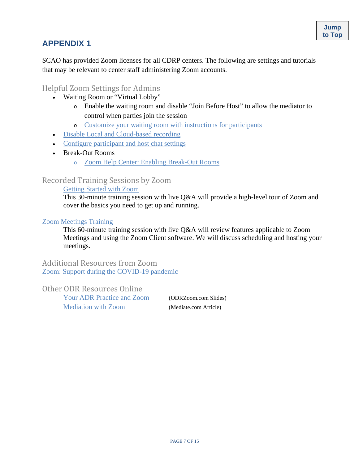## <span id="page-8-0"></span>**APPENDIX 1**

SCAO has provided Zoom licenses for all CDRP centers. The following are settings and tutorials that may be relevant to center staff administering Zoom accounts.

## <span id="page-8-1"></span>Helpful Zoom Settings for Admins

- Waiting Room or "Virtual Lobby"
	- <sup>o</sup> Enable the waiting room and disable "Join Before Host" to allow the mediator to control when parties join the session
	- <sup>o</sup> [Customize your waiting room with instructions for participants](#page-9-0)
- [Disable Local and Cloud-based recording](#page-11-0)
- [Configure participant and host chat settings](#page-10-0)
- Break-Out Rooms
	- <sup>o</sup> [Zoom Help Center: Enabling Break-Out Rooms](https://support.zoom.us/hc/en-us/articles/206476093-Getting-Started-with-Video-Breakout-Rooms)

## <span id="page-8-2"></span>Recorded Training Sessions by Zoom

[Getting Started with Zoom](https://livetraining.zoom.us/rec/share/w-xkMqrg8EZOR53m8VH8A_EsML29aaa8hCgdr_ILzEmYi4y8Tw3cz-uKc6h_qL8P)

This 30-minute training session with live Q&A will provide a high-level tour of Zoom and cover the basics you need to get up and running.

#### [Zoom Meetings Training](https://livetraining.zoom.us/recording/share/lfWkLKYboWKzXzk0OEo-ZbY41L5mcAWMcQqlR_5ZMXewIumekTziMw)

This 60-minute training session with live Q&A will review features applicable to Zoom Meetings and using the Zoom Client software. We will discuss scheduling and hosting your meetings.

<span id="page-8-3"></span>Additional Resources from Zoom [Zoom: Support during the COVID-19 pandemic](https://zoom.us/docs/en-us/covid19.html)

<span id="page-8-4"></span>Other ODR Resources Online

[Your ADR Practice and Zoom](https://www.odrzoom.com/) (ODRZoom.com Slides) [Mediation with Zoom](https://www.mediate.com/articles/online-mediating-zoom.cfm) (Mediate.com Article)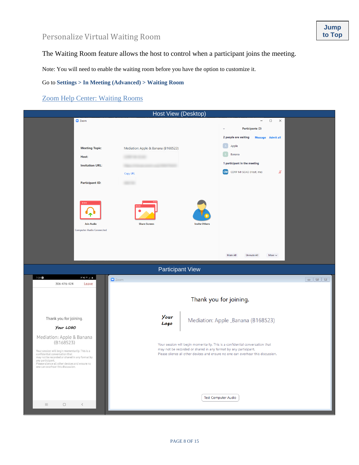## <span id="page-9-0"></span>Personalize Virtual Waiting Room **[to Top](#page-1-0)**

The Waiting Room feature allows the host to control when a participant joins the meeting.

Note: You will need to enable the waiting room before you have the option to customize it.

Go to **Settings > In Meeting (Advanced) > Waiting Room**

#### [Zoom Help Center: Waiting Rooms](https://support.zoom.us/hc/en-us/articles/115000332726-Waiting-Room?zcid=1231&_ga=2.61400618.78602277.1585571687-1511118475.1576587521)

| Host View (Desktop)                                                                                                                                                                                                                                                                     |                                                                                                                                                                                                                                      |                                                                                     |  |
|-----------------------------------------------------------------------------------------------------------------------------------------------------------------------------------------------------------------------------------------------------------------------------------------|--------------------------------------------------------------------------------------------------------------------------------------------------------------------------------------------------------------------------------------|-------------------------------------------------------------------------------------|--|
| C Zoom                                                                                                                                                                                                                                                                                  |                                                                                                                                                                                                                                      | $\Box$<br>$\times$<br>Participants (3)<br>2 people are waiting<br>Message Admit all |  |
| <b>Meeting Topic:</b>                                                                                                                                                                                                                                                                   | Mediation: Apple & Banana (B168523)                                                                                                                                                                                                  | Apple                                                                               |  |
| Host:                                                                                                                                                                                                                                                                                   |                                                                                                                                                                                                                                      | Banana                                                                              |  |
| <b>Invitation URL:</b>                                                                                                                                                                                                                                                                  |                                                                                                                                                                                                                                      | 1 participant in the meeting                                                        |  |
|                                                                                                                                                                                                                                                                                         | Copy URL                                                                                                                                                                                                                             | CM CDRP MI-SCAO (Host, me)<br>⊯                                                     |  |
| <b>Participant ID:</b>                                                                                                                                                                                                                                                                  |                                                                                                                                                                                                                                      |                                                                                     |  |
| <b>Join Audio</b><br><b>Computer Audio Connected</b>                                                                                                                                                                                                                                    | <b>Share Screen</b><br><b>Invite Others</b><br><b>Participant View</b>                                                                                                                                                               | Mute All<br><b>Unmute All</b><br>More $\smallsmile$                                 |  |
| 7:09<br>$y + 1 = 0$<br>306-476-424<br>Leave                                                                                                                                                                                                                                             | <b>C</b> Zoom                                                                                                                                                                                                                        |                                                                                     |  |
| Thank you for joining.                                                                                                                                                                                                                                                                  | <b>Your</b>                                                                                                                                                                                                                          | Thank you for joining.<br>Mediation: Apple _Banana (B168523)                        |  |
| Your LOGO                                                                                                                                                                                                                                                                               | Logo                                                                                                                                                                                                                                 |                                                                                     |  |
| Mediation: Apple & Banana<br>(B168523)<br>Your session will begin momentarily. This is a<br>confidential conversation that<br>may not be recorded or shared in any format by<br>any participant.<br>Please silence all other devices and ensure no<br>one can overhear this discussion. | Your session will begin momentarily. This is a confidential conversation that<br>may not be recorded or shared in any format by any participant.<br>Please silence all other devices and ensure no one can overhear this discussion. |                                                                                     |  |
|                                                                                                                                                                                                                                                                                         |                                                                                                                                                                                                                                      | <b>Test Computer Audio</b>                                                          |  |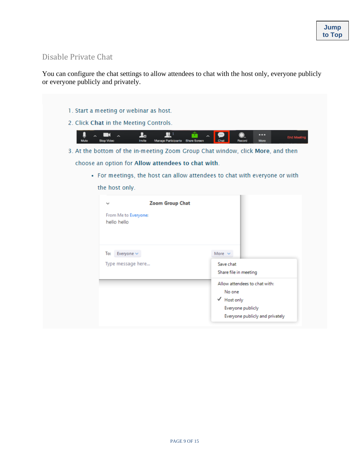## <span id="page-10-0"></span>Disable Private Chat

You can configure the chat settings to allow attendees to chat with the host only, everyone publicly or everyone publicly and privately.

1. Start a meeting or webinar as host. 2. Click Chat in the Meeting Controls.  $\blacksquare$  $\mathbf{r}$ י צ ...  $\sim$ m  $\sim$ End Me Stop Vid Invite e Participants Share Scr M 3. At the bottom of the in-meeting Zoom Group Chat window, click More, and then choose an option for Allow attendees to chat with. • For meetings, the host can allow attendees to chat with everyone or with the host only. Zoom Group Chat From Me to Everyone: hello hello To: Everyone  $\sim$ More  $\sim$ Type message here... Save chat Share file in meeting Allow attendees to chat with: No one √ Host only Everyone publicly Everyone publicly and privately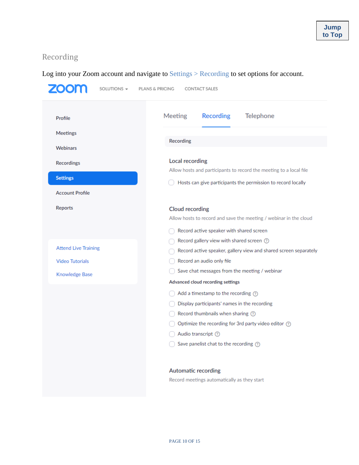## <span id="page-11-0"></span>Recording

## Log into your Zoom account and navigate to Settings > Recording to set options for account.

| 700<br>SOLUTIONS $\sim$     | PLANS & PRICING<br><b>CONTACT SALES</b>                            |  |
|-----------------------------|--------------------------------------------------------------------|--|
| Profile                     | <b>Recording</b><br><b>Meeting</b><br><b>Telephone</b>             |  |
| Meetings                    |                                                                    |  |
| Webinars                    | Recording                                                          |  |
|                             |                                                                    |  |
| Recordings                  | Local recording                                                    |  |
| <b>Settings</b>             | Allow hosts and participants to record the meeting to a local file |  |
|                             | Hosts can give participants the permission to record locally       |  |
| <b>Account Profile</b>      |                                                                    |  |
| Reports                     | <b>Cloud recording</b>                                             |  |
|                             | Allow hosts to record and save the meeting / webinar in the cloud  |  |
|                             | Record active speaker with shared screen                           |  |
|                             | Record gallery view with shared screen 7                           |  |
| <b>Attend Live Training</b> | Record active speaker, gallery view and shared screen separately   |  |
| <b>Video Tutorials</b>      | Record an audio only file                                          |  |
| Knowledge Base              | Save chat messages from the meeting / webinar                      |  |
|                             | Advanced cloud recording settings                                  |  |
|                             | Add a timestamp to the recording $\oslash$                         |  |
|                             | Display participants' names in the recording                       |  |
|                             | Record thumbnails when sharing 7                                   |  |
|                             | Optimize the recording for 3rd party video editor (?)              |  |
|                             | Audio transcript (?)                                               |  |
|                             | Save panelist chat to the recording $\circled{?}$                  |  |
|                             | <b>Automatic recording</b>                                         |  |
|                             | Record meetings automatically as they start                        |  |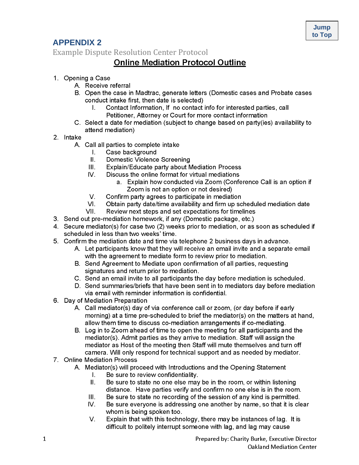## <span id="page-12-0"></span>**APPENDIX 2**

<span id="page-12-1"></span>**Example Dispute Resolution Center Protocol** 

## **Online Mediation Protocol Outline**

- 1. Opening a Case
	- A. Receive referral
	- B. Open the case in Madtrac, generate letters (Domestic cases and Probate cases conduct intake first, then date is selected)
		- Contact Information, If no contact info for interested parties, call I. Petitioner, Attorney or Court for more contact information
	- C. Select a date for mediation (subject to change based on party(ies) availability to attend mediation)
- 2. Intake
	- A. Call all parties to complete intake
		- Case background  $\mathbf{L}$
		- Domestic Violence Screening  $II.$
		- Explain/Educate party about Mediation Process  $III.$
		- $W_{\cdot}$ Discuss the online format for virtual mediations
			- a. Explain how conducted via Zoom (Conference Call is an option if Zoom is not an option or not desired)
		- V. Confirm party agrees to participate in mediation
		- Obtain party date/time availability and firm up scheduled mediation date  $VI.$
		- VII. Review next steps and set expectations for timelines
- 3. Send out pre-mediation homework, if any (Domestic package, etc.)
- 4. Secure mediator(s) for case two (2) weeks prior to mediation, or as soon as scheduled if scheduled in less than two weeks' time.
- 5. Confirm the mediation date and time via telephone 2 business days in advance.
	- A. Let participants know that they will receive an email invite and a separate email with the agreement to mediate form to review prior to mediation.
	- B. Send Agreement to Mediate upon confirmation of all parties, requesting signatures and return prior to mediation.
	- C. Send an email invite to all participants the day before mediation is scheduled.
	- D. Send summaries/briefs that have been sent in to mediators day before mediation via email with reminder information is confidential.
- 6. Day of Mediation Preparation
	- A. Call mediator(s) day of via conference call or zoom, (or day before if early morning) at a time pre-scheduled to brief the mediator(s) on the matters at hand, allow them time to discuss co-mediation arrangements if co-mediating.
	- B. Log in to Zoom ahead of time to open the meeting for all participants and the mediator(s). Admit parties as they arrive to mediation. Staff will assign the mediator as Host of the meeting then Staff will mute themselves and turn off camera. Will only respond for technical support and as needed by mediator.
- 7. Online Mediation Process
	- A. Mediator(s) will proceed with Introductions and the Opening Statement
		- $\mathbf{L}$ Be sure to review confidentiality.
		- Be sure to state no one else may be in the room, or within listening Ш. distance. Have parties verify and confirm no one else is in the room.
		- Ш. Be sure to state no recording of the session of any kind is permitted.
		- Be sure everyone is addressing one another by name, so that it is clear  $N_{\rm r}$ whom is being spoken too.
		- $V_{\cdot}$ Explain that with this technology, there may be instances of lag. It is difficult to politely interrupt someone with lag, and lag may cause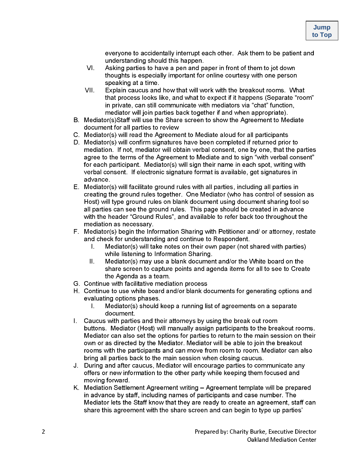everyone to accidentally interrupt each other. Ask them to be patient and understanding should this happen.

- $VI.$ Asking parties to have a pen and paper in front of them to jot down thoughts is especially important for online courtesy with one person speaking at a time.
- VII. Explain caucus and how that will work with the breakout rooms. What that process looks like, and what to expect if it happens (Separate "room" in private, can still communicate with mediators via "chat" function. mediator will join parties back together if and when appropriate).
- B. Mediator(s)Staff will use the Share screen to show the Agreement to Mediate document for all parties to review
- C. Mediator(s) will read the Agreement to Mediate aloud for all participants
- D. Mediator(s) will confirm signatures have been completed if returned prior to mediation. If not, mediator will obtain verbal consent, one by one, that the parties agree to the terms of the Agreement to Mediate and to sign "with verbal consent" for each participant. Mediator(s) will sign their name in each spot, writing with verbal consent. If electronic signature format is available, get signatures in advance.
- E. Mediator(s) will facilitate ground rules with all parties, including all parties in creating the ground rules together. One Mediator (who has control of session as Host) will type ground rules on blank document using document sharing tool so all parties can see the ground rules. This page should be created in advance with the header "Ground Rules", and available to refer back too throughout the mediation as necessary.
- F. Mediator(s) begin the Information Sharing with Petitioner and/ or attorney, restate and check for understanding and continue to Respondent.
	- Mediator(s) will take notes on their own paper (not shared with parties) L. while listening to Information Sharing.
	- $II.$ Mediator(s) may use a blank document and/or the White board on the share screen to capture points and agenda items for all to see to Create the Agenda as a team.
- G. Continue with facilitative mediation process
- H. Continue to use white board and/or blank documents for generating options and evaluating options phases.
	- $\mathbf{L}$ Mediator(s) should keep a running list of agreements on a separate document.
- I. Caucus with parties and their attorneys by using the break out room buttons. Mediator (Host) will manually assign participants to the breakout rooms. Mediator can also set the options for parties to return to the main session on their own or as directed by the Mediator. Mediator will be able to join the breakout rooms with the participants and can move from room to room. Mediator can also bring all parties back to the main session when closing caucus.
- J. During and after caucus, Mediator will encourage parties to communicate any offers or new information to the other party while keeping them focused and moving forward.
- K. Mediation Settlement Agreement writing Agreement template will be prepared in advance by staff, including names of participants and case number. The Mediator lets the Staff know that they are ready to create an agreement, staff can share this agreement with the share screen and can begin to type up parties'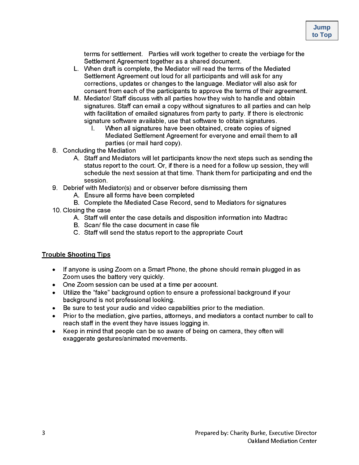terms for settlement. Parties will work together to create the verbiage for the Settlement Agreement together as a shared document.

- L. When draft is complete, the Mediator will read the terms of the Mediated Settlement Agreement out loud for all participants and will ask for any corrections, updates or changes to the language. Mediator will also ask for consent from each of the participants to approve the terms of their agreement.
- M. Mediator/ Staff discuss with all parties how they wish to handle and obtain signatures. Staff can email a copy without signatures to all parties and can help with facilitation of emailed signatures from party to party. If there is electronic signature software available, use that software to obtain signatures.
	- When all signatures have been obtained, create copies of signed  $\mathbf{L}$ Mediated Settlement Agreement for everyone and email them to all parties (or mail hard copy).
- 8. Concluding the Mediation
	- A. Staff and Mediators will let participants know the next steps such as sending the status report to the court. Or, if there is a need for a follow up session, they will schedule the next session at that time. Thank them for participating and end the session.
- 9. Debrief with Mediator(s) and or observer before dismissing them
	- A. Ensure all forms have been completed
	- B. Complete the Mediated Case Record, send to Mediators for signatures
- 10. Closing the case
	- A. Staff will enter the case details and disposition information into Madtrac
	- B. Scan/ file the case document in case file
	- C. Staff will send the status report to the appropriate Court

#### **Trouble Shooting Tips**

- If anyone is using Zoom on a Smart Phone, the phone should remain plugged in as Zoom uses the battery very quickly.
- One Zoom session can be used at a time per account.
- Utilize the "fake" background option to ensure a professional background if your background is not professional looking.
- Be sure to test your audio and video capabilities prior to the mediation.
- Prior to the mediation, give parties, attorneys, and mediators a contact number to call to reach staff in the event they have issues logging in.
- Keep in mind that people can be so aware of being on camera, they often will exaggerate gestures/animated movements.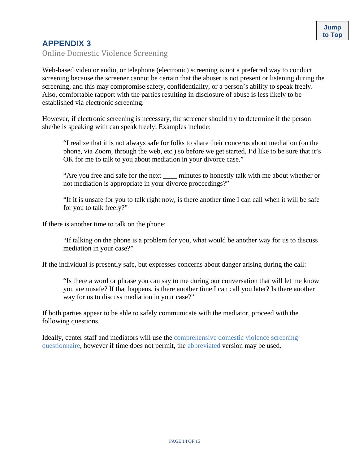## <span id="page-15-0"></span>**APPENDIX 3**

<span id="page-15-1"></span>Online Domestic Violence Screening

Web-based video or audio, or telephone (electronic) screening is not a preferred way to conduct screening because the screener cannot be certain that the abuser is not present or listening during the screening, and this may compromise safety, confidentiality, or a person's ability to speak freely. Also, comfortable rapport with the parties resulting in disclosure of abuse is less likely to be established via electronic screening.

However, if electronic screening is necessary, the screener should try to determine if the person she/he is speaking with can speak freely. Examples include:

"I realize that it is not always safe for folks to share their concerns about mediation (on the phone, via Zoom, through the web, etc.) so before we get started, I'd like to be sure that it's OK for me to talk to you about mediation in your divorce case."

"Are you free and safe for the next \_\_\_\_ minutes to honestly talk with me about whether or not mediation is appropriate in your divorce proceedings?"

"If it is unsafe for you to talk right now, is there another time I can call when it will be safe for you to talk freely?"

If there is another time to talk on the phone:

"If talking on the phone is a problem for you, what would be another way for us to discuss mediation in your case?"

If the individual is presently safe, but expresses concerns about danger arising during the call:

"Is there a word or phrase you can say to me during our conversation that will let me know you are unsafe? If that happens, is there another time I can call you later? Is there another way for us to discuss mediation in your case?"

If both parties appear to be able to safely communicate with the mediator, proceed with the following questions.

Ideally, center staff and mediators will use the [comprehensive domestic violence screening](https://courts.michigan.gov/Administration/SCAO/Resources/Documents/standards/odr/Domestic%20Violence%20Screening%20Protocol%20for%20Mediators.pdf)  [questionnaire,](https://courts.michigan.gov/Administration/SCAO/Resources/Documents/standards/odr/Domestic%20Violence%20Screening%20Protocol%20for%20Mediators.pdf) however if time does not permit, the [abbreviated](https://courts.michigan.gov/Administration/SCAO/Resources/Documents/standards/odr/Domestic%20Violence%20Screening%20Protocol%20(abbreviated).pdf) version may be used.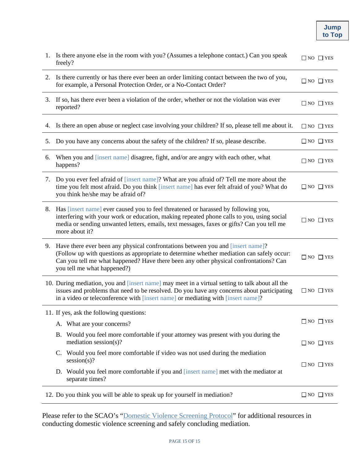| <b>Jump</b> |
|-------------|
| to Top      |

| 1. | Is there anyone else in the room with you? (Assumes a telephone contact.) Can you speak<br>freely?                                                                                                                                                                                                      | $\Box$ NO $\Box$ YES |
|----|---------------------------------------------------------------------------------------------------------------------------------------------------------------------------------------------------------------------------------------------------------------------------------------------------------|----------------------|
|    | 2. Is there currently or has there ever been an order limiting contact between the two of you,<br>for example, a Personal Protection Order, or a No-Contact Order?                                                                                                                                      | $\Box$ NO $\Box$ YES |
| 3. | If so, has there ever been a violation of the order, whether or not the violation was ever<br>reported?                                                                                                                                                                                                 | $\Box$ NO $\Box$ YES |
| 4. | Is there an open abuse or neglect case involving your children? If so, please tell me about it.                                                                                                                                                                                                         | $\Box$ NO $\Box$ YES |
| 5. | Do you have any concerns about the safety of the children? If so, please describe.                                                                                                                                                                                                                      | $\Box$ NO $\Box$ YES |
| 6. | When you and [insert name] disagree, fight, and/or are angry with each other, what<br>happens?                                                                                                                                                                                                          | $\Box$ NO $\Box$ YES |
| 7. | Do you ever feel afraid of [insert name]? What are you afraid of? Tell me more about the<br>time you felt most afraid. Do you think [insert name] has ever felt afraid of you? What do<br>you think he/she may be afraid of?                                                                            | $\Box$ NO $\Box$ YES |
| 8. | Has [insert name] ever caused you to feel threatened or harassed by following you,<br>interfering with your work or education, making repeated phone calls to you, using social<br>media or sending unwanted letters, emails, text messages, faxes or gifts? Can you tell me<br>more about it?          | $\Box$ NO $\Box$ YES |
|    | 9. Have there ever been any physical confrontations between you and [insert name]?<br>(Follow up with questions as appropriate to determine whether mediation can safely occur:<br>Can you tell me what happened? Have there been any other physical confrontations? Can<br>you tell me what happened?) | $\Box$ NO $\Box$ YES |
|    | 10. During mediation, you and [insert name] may meet in a virtual setting to talk about all the<br>issues and problems that need to be resolved. Do you have any concerns about participating<br>in a video or teleconference with [insert name] or mediating with [insert name]?                       | $\Box$ NO $\Box$ YES |
|    | 11. If yes, ask the following questions:                                                                                                                                                                                                                                                                |                      |
|    | A. What are your concerns?                                                                                                                                                                                                                                                                              | $\Box$ NO $\Box$ YES |
|    | B. Would you feel more comfortable if your attorney was present with you during the<br>mediation session(s)?                                                                                                                                                                                            | $\Box$ NO $\Box$ YES |
|    | C. Would you feel more comfortable if video was not used during the mediation<br>session(s)?                                                                                                                                                                                                            |                      |
|    | D. Would you feel more comfortable if you and [insert name] met with the mediator at<br>separate times?                                                                                                                                                                                                 | $\Box$ NO $\Box$ YES |
|    | 12. Do you think you will be able to speak up for yourself in mediation?                                                                                                                                                                                                                                | $\Box$ NO $\Box$ YES |

Please refer to the SCAO's ["Domestic Violence Screening Protocol"](https://courts.michigan.gov/Administration/SCAO/Resources/Documents/standards/odr/Domestic%20Violence%20Screening%20Protocol%20for%20Mediators.pdf) for additional resources in conducting domestic violence screening and safely concluding mediation.